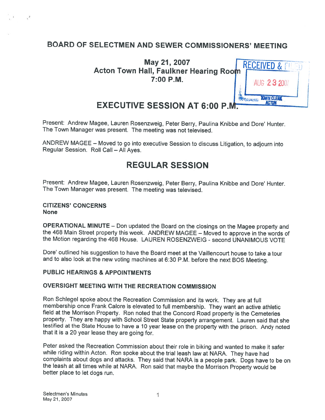# BOARD OF SELECTMEN AND SEWER COMMISSIONERS' MEETING

May 21, 2007 **RECEIVED** Acton Town Hall, Faulkner Hearing Room 7:00 P.M. AUG 23 2007

**TOWN CLERN** 

EXECUTIVE SESSION AT 6:00 P.M.

Present: Andrew Magee, Lauren Rosenzweig, Peter Berry, Pauline Knibbe and Dore' Hunter. The Town Manager was present. The meeting was not televised.

ANDREW MAGEE — Moved to go into executive Session to discuss Litigation, to adjourn into Regular Session. Roll Call — All Ayes.

# REGULAR SESSION

Present: Andrew Magee, Lauren Rosenzweig, Peter Berry, Paulina Knibbe and Dore' Hunter. The Town Manager was present. The meeting was televised.

#### CITIZENS' CONCERNS None

OPERATIONAL MINUTE – Don updated the Board on the closings on the Magee property and<br>the 468 Main Street property this week. ANDREW MAGEE – Moved to approve in the words of the Motion regarding the 468 House. LAUREN ROSENZWEIG - second UNANIMOUS VOTE

Dote' outlined his suggestion to have the Board meet at the Vaillencourt house to take <sup>a</sup> tour and to also look at the new voting machines at 6:30 P.M. before the next BOS Meeting.

#### PUBLIC HEARINGS & APPOINTMENTS

## OVERSIGHT MEETING WITH THE RECREATION COMMISSION

Ron Schlegel spoke about the Recreation Commission and its work. They are at full field at the Morrison Property. Ron noted that the Concord Road property is the Cemeteries property. They are happy with School Street State property arrangement. Lauren said that she testified at the State House to have <sup>a</sup> <sup>10</sup> year lease on the property with the prison. Andy noted that it is <sup>a</sup> <sup>20</sup> year lease they are going for.

Peter asked the Recreation Commission about their role in biking and wanted to make it safer while riding within Acton. Ron spoke about the trial leash law at NARA. They have had complaints about dogs and attacks. They sai the leash at all times while at NARA. Ron said that maybe the Morrison Property would be better place to let dogs run.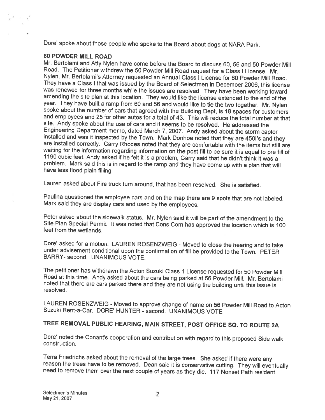Dote' spoke about those people who spoke to the Board about dogs at NARA Park.

#### 60 POWDER MILL ROAD

Mr. Bertolami and Atty Nylen have come before the Board to discuss 60, <sup>56</sup> and <sup>50</sup> Powder Mill Nylen, Mr. Bertolami's Attorney requested an Annual Class I License for 60 Powder Mill Road. They have a Class I that was issued by the Board of Selectmen in December 2006, this license was renewed for three months while the issues are resolved. They have been working toward amending the site plan at this location. They would like the license extended to the end of the year. They have built a ramp from 60 and 56 and would like to tie the two together. Mr. Nylen<br>spoke about the number of cars that agreed with the Building Dept, is 18 spaces for customers and employees and 25 for other autos for a total of 43. This will reduce the total number at that site. Andy spoke about the use of cars and it seems to be resolved. He addressed the installed and was it inspected by the Town. Mark Donhoe noted that they are 4501's and they are installed correctly. Garry Rhodes noted that they are comfortable with the items but still are waiting for the information regarding information on the post fill to be sure it is equal to pre fill of 1190 cubic feet. Andy asked if he felt it is a problem, Garry said that he didn't think it was a problem. Mark said t

Lauren asked about Fire truck turn around, that has been resolved. She is satisfied.

Paulina questioned the employee cars and on the map there are <sup>9</sup> spots that are not labeled. Mark said they are display cars and used by the employees.

Peter asked about the sidewalk status. Mr. Nylen said it will be part of the amendment to the Site Plan Special Permit. It was noted that Cons Com has approved the location which is 100 feet from the wetlands.

Dote' asked for <sup>a</sup> motion. LAUREN ROSENZWEIG - Moved to close the hearing and to take under advisement conditional upon the confirmation of fill be provided to the Town. PETER BARRY- second. UNANIMOUS VOTE.

The petitioner has withdrawn the Acton Suzuki Class 1 License requested for 50 Powder Mill Road at this time. Andy asked about the cars being parked at 56 Powder Mill. Mr. Bertolami noted that there are cars parked there a

LAUREN ROSENZWEIG - Moved to approve change of name on 56 Powder Mill Road to Acton<br>Suzuki Rent-a-Car. DORE' HUNTER - second. UNANIMOUS VOTE

# TREE REMOVAL PUBLIC HEARING, MAIN STREET, POST OFFICE SQ. TO ROUTE 2A

Dote' noted the Conant's cooperation and contribution with regard to this proposed Side walk construction.

Terra Friedrichs asked about the removal of the large trees. She asked if there were any reason the trees have to be removed. Dean said it is conservative cutting. They will eventually need to remove them over the next couple of years as they die. <sup>117</sup> Nonset Path resident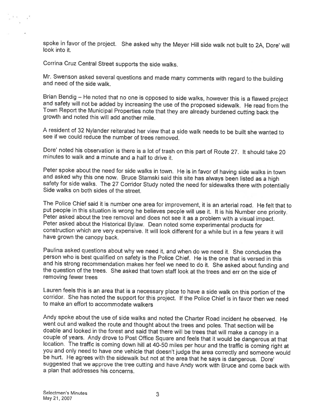spoke in favor of the project. She asked why the Meyer Hill side walk not built to 2A, Dore' will look into it.

Corrina Cruz Central Street supports the side walks.

Mr. Swenson asked several questions and made many comments with regard to the building and need of the side walk.

Brian Bendig – He noted that no one is opposed to side walks, however this is a flawed project<br>and safety will not be added by increasing the use of the proposed sidewalk. He read from the<br>Town Report the Municipal Propert

<sup>A</sup> resident of <sup>32</sup> Nylander reiterated her view that <sup>a</sup> side walk needs to be built she wanted to see if we could reduce the number of trees removed.

Dore' noted his observation is there is <sup>a</sup> lot of trash on this part of Route 27. It should take <sup>20</sup> minutes to walk and <sup>a</sup> minute and <sup>a</sup> half to drive it.

Peter spoke about the need for side walks in town. He is in favor of having side walks in town<br>and asked why this one now. Bruce Stamski said this site has always been listed as a high<br>safety for side walks. The 27 Corrido

The Police Chief said it is number one area for improvement, it is an arterial road. He felt that to put people in this situation is wrong he believes people will use it. It is his Number one priority. Peter asked about the tree removal and does not see it as a problem with a visual impact.<br>Peter asked about the Historical Bylaw. Dean noted some experimental products for construction which are very expensive. It will loo

Paulina asked questions about why we need it, and when do we need it. She concludes the person who is best qualified on safety is the Police Chief. He is the one that is versed in this and his strong recommendation makes her feel we need to do it. She asked about funding and the question of the trees. She asked that town staff look at the trees and err on the side of removing fewer trees

Lauren feels this is an area that is <sup>a</sup> necessary <sup>p</sup>lace to have <sup>a</sup> side walk on this portion of the corridor. She has noted the support for this project. If the Police Chief is in favor then we need to make an effort to accommodate walkers

Andy spoke about the use of side walks and noted the Charter Road incident he observed. He went out and walked the route and thought about the trees and poles. That section will be doable and looked in the forest and said that there will be trees that will make a canopy in a couple of years. Andy drove to Post Office Square and feels that it would be dangerous at that location. The traffic is coming down hill at 40-50 miles per hour and the traffic is coming right at you and only need to have one vehicle that doesn't judge the area correctly and someone would be hurt. He agrees with the sidewalk but not at the area that he says is dangerous. Dore'<br>suggested that we approve the tree cutting and have Andy work with Bruce and come back with <sup>a</sup> plan that addresses his concerns.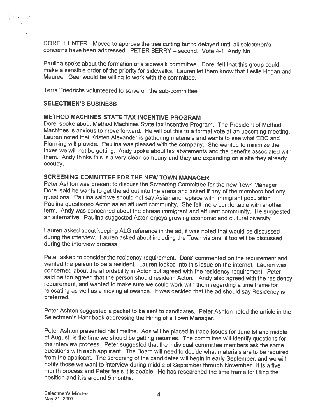DORE' HUNTER - Moved to approve the tree cutting but to delayed until all selectmen's concerns have been addressed. PETER BERRY — second. Vote 4-1 Andy No

Paulina spoke about the formation of a sidewalk committee. Dore' felt that this group could<br>make a sensible order of the priority for sidewalks. Lauren let them know that Leslie Hogan and<br>Maureen Geer would be willing to w

Terra Friedrichs volunteered to serve on the sub-committee.

#### SELECTMEN'S BUSINESS

## METHOD MACHINES STATE TAX INCENTIVE PROGRAM

Dore' spoke about Method Machines State tax incentive Program. The President of Method Machines is anxious to move forward. He will put this to <sup>a</sup> formal vote at an upcoming meeting. Lauren noted that Kristen Alexander is gathering materials and wants to see what EDO and Planning will provide. Paulina was <sup>p</sup>leased with the company. She wanted to minimize the taxes we will not be getting. Andy spoke about tax abatements and the benefits associated with them. Andy thinks this is <sup>a</sup> very clean company and they are expanding on <sup>a</sup> site they already occupy.

### SCREENING COMMITTEE FOR THE NEW TOWN MANAGER

Peter Ashton was present to discuss the Screening Committee for the new Town Manager. Dore' said he wants to get the ad out into the arena and asked if any of the members had any questions. Paulina said we should not say Asian and replace with immigrant population. Paulina questioned Acton as an affluent community. She felt more comfortable with another term. Andy was concerned about the <sup>p</sup>hrase immigrant and affluent community. He suggested an alternative. Paulina suggested Acton enjoys growing economic and cultural diversity

Lauren asked about keeping ALG reference in the ad, it was noted that would be discussed during the interview. Lauren asked about including the Town visions, it too will be discussed during the interview process.

Peter asked to consider the residency requirement. Dore' commented on the requirement and wanted the person to be <sup>a</sup> resident. Lauren looked into this issue on the internet. Lauren was concerned about the affordability in Acton but agreed with the residency requirement. Peter said he too agreed that the person should reside in Acton. Andy also agreed with the residency requirement, and wanted to make sure we could work with them regarding a time frame for relocating as well as a moving allowance. It was decided that the ad should say Residency is preferred.

Peter Ashton suggested <sup>a</sup> packet to be sent to candidates. Peter Ashton noted the article in the Selectmen's Handbook addressing the Hiring of <sup>a</sup> Town Manager.

Peter Ashton presented his timeline. Ads will be placed in trade issues for June Ist and middle of August, is the time we should be getting resumes. The committee will identify questions for the interview process. Peter suggested that the individual committee members ask the same questions with each applicant. The Board will need to decide what materials are to be required from the applicant. The screening of the candidates will begin in early September, and we will notify those we want to interview during middle of September through November. It is <sup>a</sup> five month process and Peter feels it is doable. He has researched the time frame for filling the position and it is around 5 months.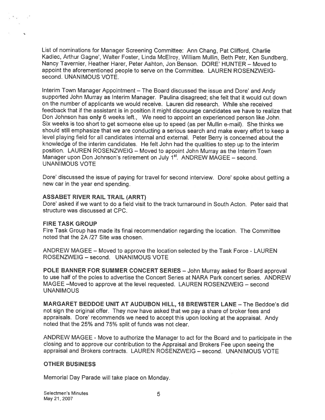List of nominations for Manager Screening Committee: Ann Chang, Pat Clifford, Charlie Kadlec, Arthur Gagne', Walter Foster, Linda McElroy, William Mullin, Beth Petr, Ken Sundberg, Nancy Tavernier, Heather Harer, Peter Ashton, Jon Benson. DORE' HUNTER — Moved to appoint the aforementioned people to serve on the Committee. LAUREN ROSENZWEIG second. UNANIMOUS VOTE.

Interim Town Manager Appointment — The Board discussed the issue and Dore' and Andy supported John Murray as Interim Manager. Paulina disagreed; she felt that it would cut down on the number of applicants we would receive. Lauren did research. While she received feedback that if the assistant is in position it might discourage candidates we have to realize that Don Johnson has only <sup>6</sup> weeks left., We need to appoint an experienced person like John. Six weeks is too short to ge<sup>t</sup> someone else up to spee<sup>d</sup> (as per Mullin e-mail). She thinks we should still emphasize that we are conducting <sup>a</sup> serious search and make every effort to keep <sup>a</sup> level <sup>p</sup>laying field for all candidates internal and external. Peter Berry is concerned about the knowledge of the interim candidates. He felt John had the qualities to step up to the interim position. LAUREN ROSENZWEIG — Moved to appoint John Murray as the Interim Town Manager upon Don Johnson's retirement on July 1<sup>st</sup>. ANDREW MAGEE – second. UNANIMOUS VOTE

Dore' discussed the issue of paying for travel for second interview. Dore' spoke about getting <sup>a</sup> new car in the year end spending.

#### ASSABET RIVER RAIL TRAIL (ARRT)

Dore' asked if we want to do <sup>a</sup> field visit to the track turnaround in South Acton. Peter said that structure was discussed at CPC.

#### FIRE TASK GROUP

ਿੰਦਾ ਸੀ

Fire Task Group has made its final recommendation regarding the location. The Committee noted that the 2A /27 Site was chosen.

ANDREW MAGEE — Moved to approve the location selected by the Task Force - LAUREN ROSENZWEIG — second. UNANIMOUS VOTE

POLE BANNER FOR SUMMER CONCERT SERIES — John Murray asked for Board approval to use half of the poles to advertise the Concert Series at NARA Park concert series. ANDREW MAGEE —Moved to approve at the level requested. LAUREN ROSENZWEIG — second UNANIMOUS

MARGARET EEDDOE UNIT AT AUDUBON HILL, 18 BREWSTER LANE — The Beddoe's did not sign the original offer. They now have asked that we pay <sup>a</sup> share of broker fees and appraisals. Dore' recommends we need to accep<sup>t</sup> this upon looking at the appraisal. Andy noted that the 25% and 75% split of funds was not clear.

ANDREW MAGEE - Move to authorize the Manager to act for the Board and to participate in the closing and to approve our contribution to the Appraisal and Brokers Fee upon seeing the appraisal and Brokers contracts. LAUREN ROSENZWEIG — second. UNANIMOUS VOTE

#### OTHER BUSINESS

Memorial Day Parade will take place on Monday.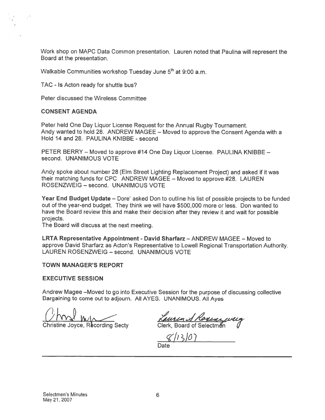Work shop on MAPC Data Common presentation. Lauren noted that Paulina will represent the Board at the presentation.

Walkable Communities workshop Tuesday June  $5<sup>th</sup>$  at 9:00 a.m.

TAC - Is Acton ready for shuttle bus?

Peter discussed the Wireless Committee

#### CONSENT AGENDA

Peter held One Day Liquor License Request for the Annual Rugby Tournament. Andy wanted to hold 28. ANDREW MAGEE — Moved to approve the Consent Agenda with <sup>a</sup> Hold 14 and 28. PAULINA KNIBBE - second

PETER BERRY — Moved to approve #14 One Day Liquor License. PAULINA KNIBBE second. UNANIMOUS VOTE

Andy spoke about number <sup>28</sup> (Elm Street Lighting Replacement Project) and asked if it was their matching funds for CPC ANDREW MAGEE - Moved to approve #28. LAUREN ROSENZWEIG — second. UNANIMOUS VOTE

Year End Budget Update — Dore' asked Don to outline his list of possible projects to be funded out of the year-end budget. They think we will have \$500,000 more or less. Don wanted to have the Board review this and make their decision after they review it and wait for possible projects.

The Board will discuss at the next meeting.

LRTA Representative Appointment - David Sharfarz — ANDREW MAGEE — Moved to approve David Sharfarz as Acton's Representative to Lowell Regional Transportation Authority. LAUREN ROSENZWEIG — second. UNANIMOUS VOTE

#### TOWN MANAGER'S REPORT

#### EXECUTIVE SESSION

Andrew Magee —Moved to go into Executive Session for the purpose of discussing collective Bargaining to come out to adjourn. All AYES. UNANIMOUS. All Ayes

Christine Joyce, Recording Secty Clerk, Board of Selectmen V

 $8/13/07$ Date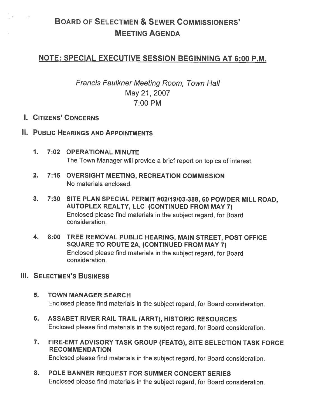# BOARD OF SELECTMEN & SEWER COMMISSIONERS' MEETING AGENDA

# NOTE: SPECIAL EXECUTIVE SESSION BEGINNING AT 6:00 P.M.

Francis Faulkner Meeting Room, Town Hall May 21, 2007 7:00 PM

# I. CITIZENS' CONCERNS

 $\frac{1}{2} \left( \frac{1}{2} \right) \left( \frac{1}{2} \right) \left( \frac{1}{2} \right)$ 

- II. PUBLIC HEARINGS AND APPOINTMENTS
	- 1. 7:02 OPERATIONAL MINUTE The Town Manager will provide <sup>a</sup> brief repor<sup>t</sup> on topics of interest.
	- 2. 7:15 OVERSIGHT MEETING, RECREATION COMMISSION No materials enclosed.
	- 3. 7:30 SITE PLAN SPECIAL PERMIT #02/19103-388, 60 POWDER MILL ROAD, AUTOPLEX REALTY, LLC (CONTINUED FROM MAY 7) Enclosed <sup>p</sup>lease find materials in the subject regard, for Board consideration.
	- 4. 8:00 TREE REMOVAL PUBLIC HEARING, MAIN STREET, POST OFFICE SQUARE TO ROUTE 2A, (CONTINUED FROM MAY 7) Enclosed <sup>p</sup>lease find materials in the subject regard, for Board consideration.

# **III. SELECTMEN'S BUSINESS**

- 5. TOWN MANAGER SEARCH Enclosed <sup>p</sup>lease find materials in the subject regard, for Board consideration.
- 6. ASSABET RIVER RAIL TRAIL (ARRT), HISTORIC RESOURCES Enclosed <sup>p</sup>lease find materials in the subject regard, for Board consideration.
- 7. FIRE-EMT ADVISORY TASK GROUP (FEATG), SITE SELECTION TASK FORCE RECOMMENDATION Enclosed <sup>p</sup>lease find materials in the subject regard, for Board consideration.
- 8. POLE BANNER REQUEST FOR SUMMER CONCERT SERIES Enclosed <sup>p</sup>lease find materials in the subject regard, for Board consideration.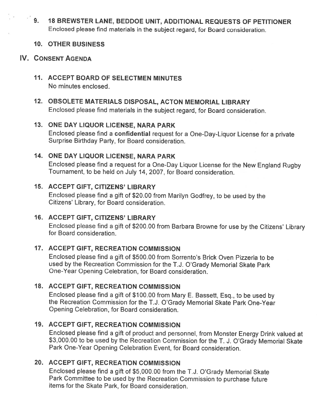9. <sup>18</sup> BREWSTER LANE, BEDDOE UNIT, ADDITIONAL REQUESTS OF PETITIONER Enclosed <sup>p</sup>lease find materials in the subject regard, for Board consideration.

## 10. OTHER BUSINESS

## IV. CONSENT AGENDA

- 11. ACCEPT BOARD OF SELECTMEN MINUTES No minutes enclosed.
- 12. OBSOLETE MATERIALS DISPOSAL, ACTON MEMORIAL LIBRARY Enclosed <sup>p</sup>lease find materials in the subject regard, for Board consideration.

## 13. ONE DAY LIQUOR LICENSE, NARA PARK

Enclosed <sup>p</sup>lease find <sup>a</sup> confidential request for <sup>a</sup> One-Day-Liquor License for <sup>a</sup> private Surprise Birthday Party, for Board consideration.

## 14. ONE DAY LIQUOR LICENSE, NARA PARK

Enclosed <sup>p</sup>lease find <sup>a</sup> request for <sup>a</sup> One-Day Liquor License for the New England Rugby Tournament, to be held on July 14, 2007, for Board consideration.

## 15. ACCEPT GIFT, CITIZENS' LIBRARY

Enclosed <sup>p</sup>lease find <sup>a</sup> <sup>g</sup>ift of \$20.00 from Marilyn Godfrey, to be used by the Citizens' Library, for Board consideration.

## 16. ACCEPT GIFT, CITIZENS' LIBRARY

Enclosed <sup>p</sup>lease find <sup>a</sup> <sup>g</sup>ift of \$200.00 from Barbara Browne for use by the Citizens' Library for Board consideration.

# 17. ACCEPT GIFT, RECREATION COMMISSION

Enclosed please find <sup>a</sup> gift of \$500.00 from Sorrento's Brick Oven Pizzeria to be used by the Recreation Commission for the T.J. O'Grady Memorial Skate Park One-Year Opening Celebration, for Board consideration.

# 18. ACCEPT GIFT, RECREATION COMMISSION

Enclosed <sup>p</sup>lease find <sup>a</sup> <sup>g</sup>ift of \$100.00 from Mary E. Bassett, Esq., to be used by the Recreation Commission for the T.J. O'Grady Memorial Skate Park One-Year Opening Celebration, for Board consideration.

# 19. ACCEPT GIFT, RECREATION COMMISSION

Enclosed <sup>p</sup>lease find <sup>a</sup> <sup>g</sup>ift of product and personnel, from Monster Energy Drink valued at \$3,000.00 to be used by the Recreation Commission for the T. J. O'Grady Memorial Skate Park One-Year Opening Celebration Event, for Board consideration.

# 20. ACCEPT GIFT, RECREATION COMMISSION

Enclosed <sup>p</sup>lease find <sup>a</sup> <sup>g</sup>ift of \$5,000.00 from the T.J. O'Grady Memorial Skate Park Committee to be used by the Recreation Commission to purchase future items for the Skate Park, for Board consideration.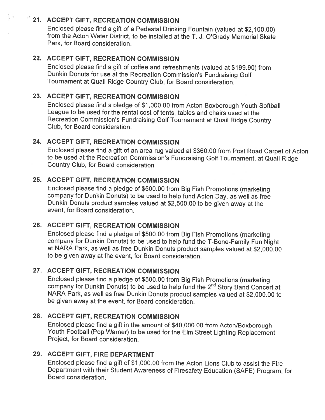# <sup>22</sup> 21. ACCEPT GIFT, RECREATION COMMISSION

Enclosed <sup>p</sup>lease find <sup>a</sup> <sup>g</sup>ift of <sup>a</sup> Pedestal Drinking Fountain (valued at \$2,100.00) from the Acton Water District, to be installed at the T. J. O'Grady Memorial Skate Park, for Board consideration.

# 22. ACCEPT GIFT, RECREATION COMMISSION

Enclosed <sup>p</sup>lease find <sup>a</sup> <sup>g</sup>ift of coffee and refreshments (valued at \$199.90) from Dunkin Donuts for use at the Recreation Commission's Fundraising Golf Tournament at Quail Ridge Country Club, for Board consideration.

# 23. ACCEPT GIFT, RECREATION COMMISSION

Enclosed <sup>p</sup>lease find <sup>a</sup> <sup>p</sup>ledge of \$1,000.00 from Acton Boxborough Youth Softball League to be used for the rental cost of tents, tables and chairs used at the Recreation Commission's Fundraising Golf Tournament at Quail Ridge Country Club, for Board consideration.

# 24. ACCEPT GIFT, RECREATION COMMISSION

Enclosed <sup>p</sup>lease find <sup>a</sup> <sup>g</sup>ift of an area rug valued at \$360.00 from Post Road Carpet of Acton to be used at the Recreation Commission's Fundraising Golf Tournament, at Quail Ridge Country Club, for Board consideration

# 25. ACCEPT GIFT, RECREATION COMMISSION

Enclosed <sup>p</sup>lease find <sup>a</sup> <sup>p</sup>ledge of \$500.00 from Big Fish Promotions (marketing company for Dunkin Donuts) to be used to help fund Acton Day, as well as free Dunkin Donuts product samples valued at \$2,500.00 to be <sup>g</sup>iven away at the event, for Board consideration.

# 26. ACCEPT GIFT, RECREATION COMMISSION

Enclosed <sup>p</sup>lease find <sup>a</sup> <sup>p</sup>ledge of \$500.00 from Big Fish Promotions (marketing company for Dunkin Donuts) to be used to help fund the T-Bone-Family Fun Night at NARA Park, as well as free Dunkin Donuts product samples valued at \$2,000.00 to be given away at the event, for Board consideration.

# 27. ACCEPT GIFT, RECREATION COMMISSION

Enclosed <sup>p</sup>lease find <sup>a</sup> <sup>p</sup>ledge of \$500.00 from Big Fish Promotions (marketing company for Dunkin Donuts) to be used to help fund the 2<sup>nd</sup> Story Band Concert at NARA Park, as well as free Dunkin Donuts product samples valued at \$2,000.00 to be given away at the event, for Board consideration.

# 28. ACCEPT GIFT, RECREATION COMMISSION

Enclosed <sup>p</sup>lease find <sup>a</sup> <sup>g</sup>ift in the amount of \$40,000.00 from Acton/Boxborough Youth Football (Pop Warner) to be used for the Elm Street Lighting Replacement Project, for Board consideration.

# 29. ACCEPT GIFT, FIRE DEPARTMENT

Enclosed please find <sup>a</sup> gift of \$1 000.00 from the Acton Lions Club to assist the Fire Department with their Student Awareness of Firesafety Education (SAFE) Program, for Board consideration.